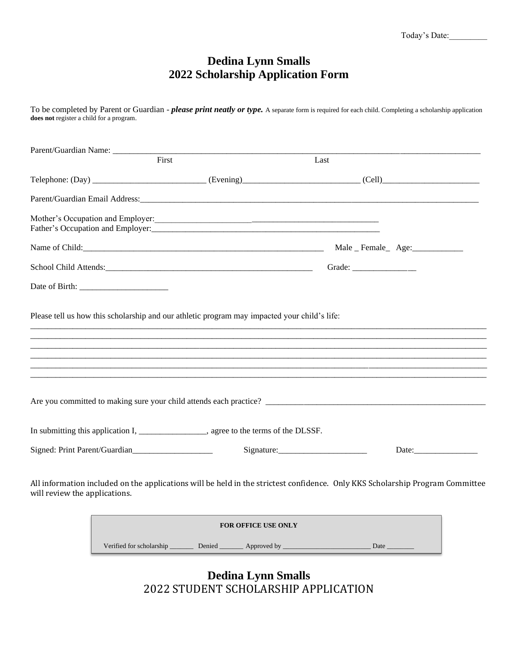## **Dedina Lynn Smalls 2022 Scholarship Application Form**

To be completed by Parent or Guardian - *please print neatly or type.* A separate form is required for each child. Completing a scholarship application **does not** register a child for a program.

|                               | Parent/Guardian Name: First                                                                  |                                                                                                                               |
|-------------------------------|----------------------------------------------------------------------------------------------|-------------------------------------------------------------------------------------------------------------------------------|
|                               |                                                                                              | Last                                                                                                                          |
|                               |                                                                                              |                                                                                                                               |
|                               |                                                                                              |                                                                                                                               |
|                               | Mother's Occupation and Employer:                                                            |                                                                                                                               |
|                               |                                                                                              |                                                                                                                               |
|                               |                                                                                              |                                                                                                                               |
|                               |                                                                                              | Grade: ________________                                                                                                       |
|                               |                                                                                              |                                                                                                                               |
|                               | Please tell us how this scholarship and our athletic program may impacted your child's life: |                                                                                                                               |
|                               |                                                                                              | Are you committed to making sure your child attends each practice?                                                            |
|                               | In submitting this application I, ____________________, agree to the terms of the DLSSF.     |                                                                                                                               |
|                               |                                                                                              | Signature:<br>Date:                                                                                                           |
| will review the applications. |                                                                                              | All information included on the applications will be held in the strictest confidence. Only KKS Scholarship Program Committee |

| <b>FOR OFFICE USE ONLY</b> |        |             |      |  |  |  |
|----------------------------|--------|-------------|------|--|--|--|
| Verified for scholarship   | Denied | Approved by | Date |  |  |  |

**Dedina Lynn Smalls** 2022 STUDENT SCHOLARSHIP APPLICATION